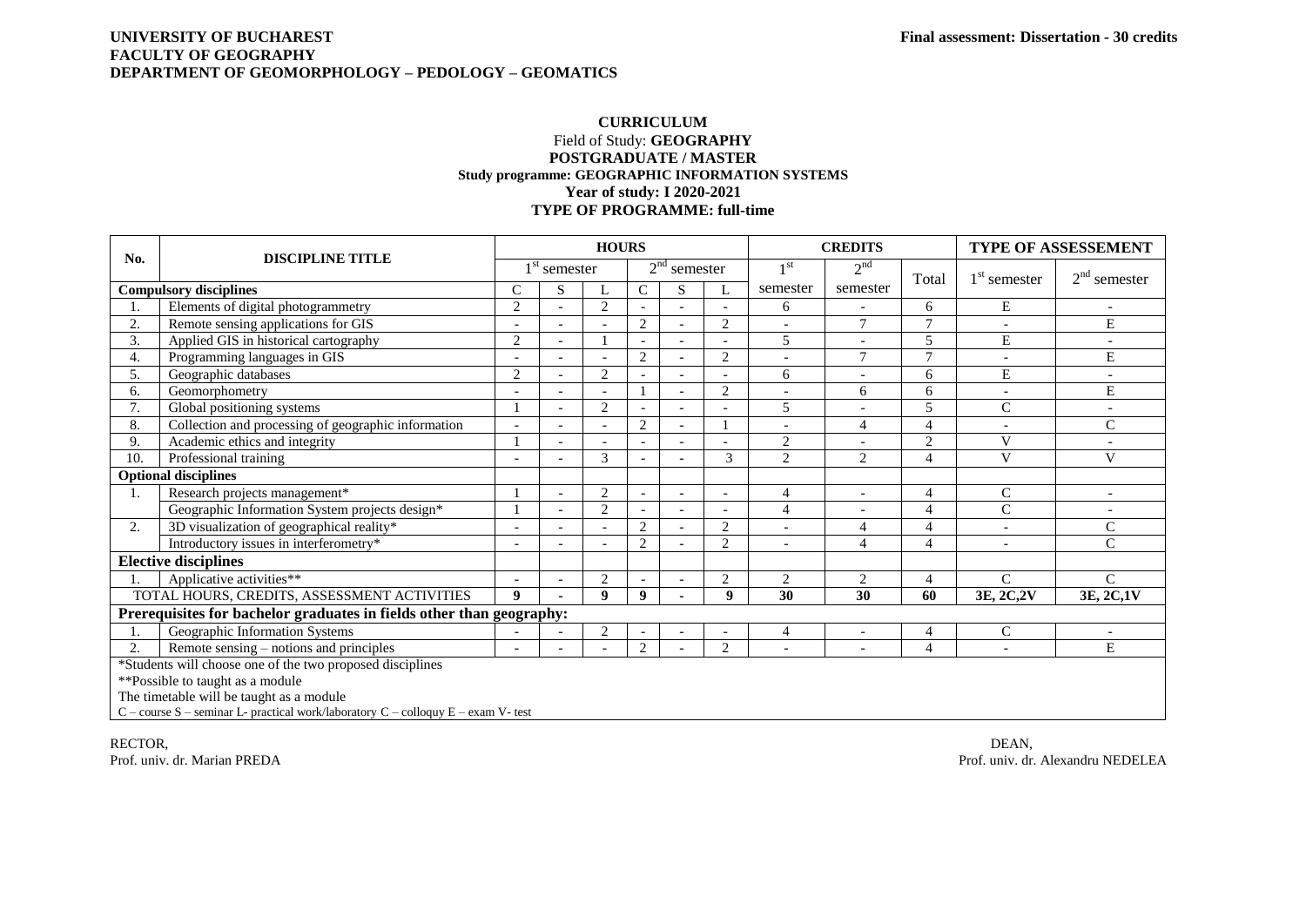## **UNIVERSITY OF BUCHAREST Final assessment: Dissertation - 30 credits FACULTY OF GEOGRAPHY DEPARTMENT OF GEOMORPHOLOGY – PEDOLOGY – GEOMATICS**

## **CURRICULUM** Field of Study: **GEOGRAPHY POSTGRADUATE / MASTER Study programme: GEOGRAPHIC INFORMATION SYSTEMS Year of study: I 2020-2021 TYPE OF PROGRAMME: full-time**

|                                                                                   | <b>DISCIPLINE TITLE</b>                             |                  |          | <b>HOURS</b> |                             |                          |                          |                 | <b>CREDITS</b>           |                | TYPE OF ASSESSEMENT |                          |
|-----------------------------------------------------------------------------------|-----------------------------------------------------|------------------|----------|--------------|-----------------------------|--------------------------|--------------------------|-----------------|--------------------------|----------------|---------------------|--------------------------|
| No.                                                                               |                                                     |                  | semester |              | 2 <sup>nd</sup><br>semester |                          |                          | 1 <sup>st</sup> | 2 <sup>nd</sup>          | Total          | $1st$ semester      | $2nd$ semester           |
| <b>Compulsory disciplines</b>                                                     |                                                     | C                | S        |              | $\mathsf{C}$                | S                        | L                        | semester        | semester                 |                |                     |                          |
|                                                                                   | Elements of digital photogrammetry                  | $\overline{2}$   |          | 2            |                             |                          |                          | 6               |                          | 6              | E                   |                          |
| 2.                                                                                | Remote sensing applications for GIS                 |                  |          |              | $\overline{2}$              |                          | $\overline{c}$           |                 | $\overline{7}$           | $\tau$         |                     | E                        |
| 3.                                                                                | Applied GIS in historical cartography               | $\overline{2}$   |          |              |                             | $\overline{\phantom{a}}$ |                          | 5               | $\overline{\phantom{a}}$ | 5              | ${\bf E}$           | $\overline{\phantom{a}}$ |
| 4.                                                                                | Programming languages in GIS                        |                  |          |              | $\overline{2}$              | $\overline{a}$           | 2                        |                 | $\tau$                   | $\tau$         | $\overline{a}$      | E                        |
| 5.                                                                                | Geographic databases                                | $\overline{c}$   |          | 2            |                             |                          |                          | 6               |                          | 6              | E                   |                          |
| 6.                                                                                | Geomorphometry                                      |                  |          |              |                             |                          | $\overline{c}$           |                 | 6                        | 6              |                     | ${\bf E}$                |
| 7.                                                                                | Global positioning systems                          |                  |          | 2            |                             |                          |                          | 5               |                          | 5              | $\mathsf{C}$        | $\overline{\phantom{a}}$ |
| 8.                                                                                | Collection and processing of geographic information | ٠                |          |              | $\overline{2}$              |                          |                          |                 | $\overline{4}$           | $\overline{4}$ | $\blacksquare$      | $\mathcal{C}$            |
| 9.                                                                                | Academic ethics and integrity                       |                  |          |              |                             |                          |                          | $\overline{2}$  |                          | 2              | V                   |                          |
| 10.                                                                               | Professional training                               | ۰                |          | 3            |                             |                          | 3                        | $\overline{2}$  | $\overline{2}$           | 4              | V                   | V                        |
| <b>Optional disciplines</b>                                                       |                                                     |                  |          |              |                             |                          |                          |                 |                          |                |                     |                          |
| 1.                                                                                | Research projects management*                       |                  |          | 2            |                             | $\overline{\phantom{a}}$ | $\overline{\phantom{a}}$ | 4               | $\blacksquare$           | $\overline{4}$ | C                   | $\overline{\phantom{a}}$ |
|                                                                                   | Geographic Information System projects design*      |                  |          | 2            |                             |                          |                          | $\overline{4}$  |                          | $\overline{4}$ | $\mathsf{C}$        |                          |
| 2.                                                                                | 3D visualization of geographical reality*           |                  |          |              | $\overline{2}$              |                          | $\overline{c}$           |                 | $\overline{4}$           | $\overline{4}$ |                     | $\mathsf{C}$             |
|                                                                                   | Introductory issues in interferometry*              | ٠                |          |              | $\overline{2}$              |                          | 2                        |                 | 4                        | 4              | $\sim$              | $\mathcal{C}$            |
| <b>Elective disciplines</b>                                                       |                                                     |                  |          |              |                             |                          |                          |                 |                          |                |                     |                          |
|                                                                                   | Applicative activities**                            |                  |          | 2            |                             |                          | 2                        | 2               | 2                        | $\overline{4}$ | $\mathcal{C}$       | $\mathcal{C}$            |
|                                                                                   | TOTAL HOURS, CREDITS, ASSESSMENT ACTIVITIES         | $\boldsymbol{Q}$ |          | $\mathbf{Q}$ | 9                           |                          | $\boldsymbol{Q}$         | 30              | 30                       | 60             | 3E, 2C, 2V          | 3E, 2C, 1V               |
| Prerequisites for bachelor graduates in fields other than geography:              |                                                     |                  |          |              |                             |                          |                          |                 |                          |                |                     |                          |
| 1.                                                                                | Geographic Information Systems                      |                  |          | 2            |                             |                          |                          | 4               |                          | 4              | $\mathsf{C}$        |                          |
| 2.                                                                                | Remote sensing – notions and principles             | ۰                |          |              | $\overline{2}$              |                          | 2                        |                 | $\overline{\phantom{a}}$ | $\overline{4}$ | $\overline{a}$      | E                        |
| *Students will choose one of the two proposed disciplines                         |                                                     |                  |          |              |                             |                          |                          |                 |                          |                |                     |                          |
| **Possible to taught as a module                                                  |                                                     |                  |          |              |                             |                          |                          |                 |                          |                |                     |                          |
| The timetable will be taught as a module                                          |                                                     |                  |          |              |                             |                          |                          |                 |                          |                |                     |                          |
| C - course S - seminar L- practical work/laboratory C - colloquy E - exam V- test |                                                     |                  |          |              |                             |                          |                          |                 |                          |                |                     |                          |

RECTOR, DEAN, DEAN, DEAN, DEAN, DEAN, DEAN, DEAN, DEAN, DEAN, DEAN, DEAN, DEAN, DEAN, DEAN, DEAN, DEAN, DEAN, DEAN, DEAN, DEAN, DEAN, DEAN, DEAN, DEAN, DEAN, DEAN, DEAN, DEAN, DEAN, DEAN, DEAN, DEAN, DEAN, DEAN, DEAN, DEAN Prof. univ. dr. Marian PREDA Prof. univ. dr. Alexandru NEDELEA